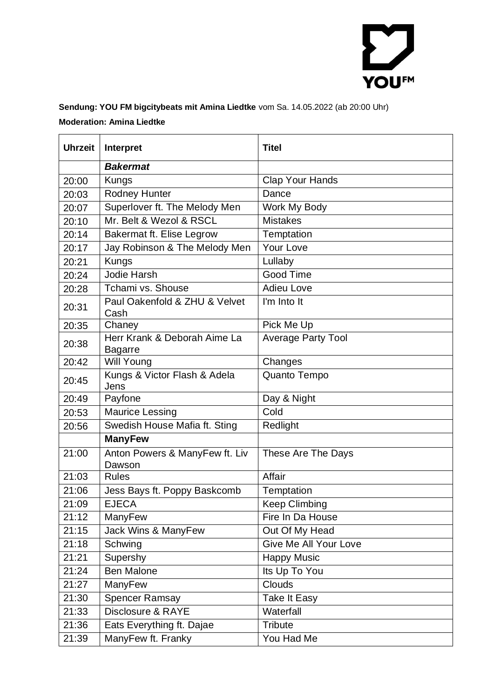

## **Sendung: YOU FM bigcitybeats mit Amina Liedtke** vom Sa. 14.05.2022 (ab 20:00 Uhr) **Moderation: Amina Liedtke**

| <b>Uhrzeit</b> | Interpret                                      | <b>Titel</b>                 |
|----------------|------------------------------------------------|------------------------------|
|                | <b>Bakermat</b>                                |                              |
| 20:00          | Kungs                                          | <b>Clap Your Hands</b>       |
| 20:03          | <b>Rodney Hunter</b>                           | Dance                        |
| 20:07          | Superlover ft. The Melody Men                  | Work My Body                 |
| 20:10          | Mr. Belt & Wezol & RSCL                        | <b>Mistakes</b>              |
| 20:14          | Bakermat ft. Elise Legrow                      | Temptation                   |
| 20:17          | Jay Robinson & The Melody Men                  | Your Love                    |
| 20:21          | <b>Kungs</b>                                   | Lullaby                      |
| 20:24          | Jodie Harsh                                    | Good Time                    |
| 20:28          | Tchami vs. Shouse                              | <b>Adieu Love</b>            |
| 20:31          | Paul Oakenfold & ZHU & Velvet<br>Cash          | I'm Into It                  |
| 20:35          | Chaney                                         | Pick Me Up                   |
| 20:38          | Herr Krank & Deborah Aime La<br><b>Bagarre</b> | <b>Average Party Tool</b>    |
| 20:42          | <b>Will Young</b>                              | Changes                      |
| 20:45          | Kungs & Victor Flash & Adela<br>Jens           | Quanto Tempo                 |
| 20:49          | Payfone                                        | Day & Night                  |
| 20:53          | <b>Maurice Lessing</b>                         | Cold                         |
| 20:56          | Swedish House Mafia ft. Sting                  | Redlight                     |
|                | <b>ManyFew</b>                                 |                              |
| 21:00          | Anton Powers & ManyFew ft. Liv<br>Dawson       | These Are The Days           |
| 21:03          | <b>Rules</b>                                   | Affair                       |
| 21:06          | Jess Bays ft. Poppy Baskcomb                   | Temptation                   |
| 21:09          | <b>EJECA</b>                                   | <b>Keep Climbing</b>         |
| 21:12          | ManyFew                                        | Fire In Da House             |
| 21:15          | Jack Wins & ManyFew                            | Out Of My Head               |
| 21:18          | Schwing                                        | <b>Give Me All Your Love</b> |
| 21:21          | Supershy                                       | <b>Happy Music</b>           |
| 21:24          | <b>Ben Malone</b>                              | Its Up To You                |
| 21:27          | ManyFew                                        | <b>Clouds</b>                |
| 21:30          | <b>Spencer Ramsay</b>                          | <b>Take It Easy</b>          |
| 21:33          | Disclosure & RAYE                              | Waterfall                    |
| 21:36          | Eats Everything ft. Dajae                      | <b>Tribute</b>               |
| 21:39          | ManyFew ft. Franky                             | You Had Me                   |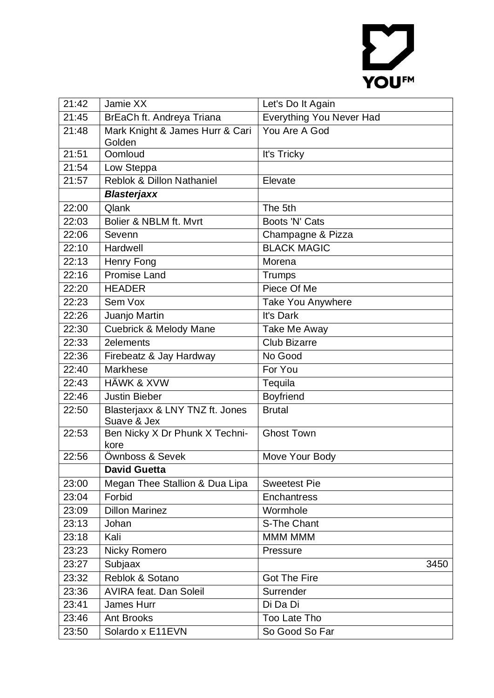## YOUFM

| 21:42 | Jamie XX                                       | Let's Do It Again               |
|-------|------------------------------------------------|---------------------------------|
| 21:45 | BrEaCh ft. Andreya Triana                      | <b>Everything You Never Had</b> |
| 21:48 | Mark Knight & James Hurr & Cari<br>Golden      | You Are A God                   |
| 21:51 | Oomloud                                        | It's Tricky                     |
| 21:54 | Low Steppa                                     |                                 |
| 21:57 | <b>Reblok &amp; Dillon Nathaniel</b>           | Elevate                         |
|       | <b>Blasterjaxx</b>                             |                                 |
| 22:00 | Qlank                                          | The 5th                         |
| 22:03 | Bolier & NBLM ft. Mvrt                         | Boots 'N' Cats                  |
| 22:06 | Sevenn                                         | Champagne & Pizza               |
| 22:10 | Hardwell                                       | <b>BLACK MAGIC</b>              |
| 22:13 | Henry Fong                                     | Morena                          |
| 22:16 | <b>Promise Land</b>                            | <b>Trumps</b>                   |
| 22:20 | <b>HEADER</b>                                  | Piece Of Me                     |
| 22:23 | Sem Vox                                        | Take You Anywhere               |
| 22:26 | Juanjo Martin                                  | It's Dark                       |
| 22:30 | <b>Cuebrick &amp; Melody Mane</b>              | <b>Take Me Away</b>             |
| 22:33 | 2elements                                      | <b>Club Bizarre</b>             |
| 22:36 | Firebeatz & Jay Hardway                        | No Good                         |
| 22:40 | <b>Markhese</b>                                | For You                         |
| 22:43 | <b>HÄWK &amp; XVW</b>                          | Tequila                         |
| 22:46 | <b>Justin Bieber</b>                           | <b>Boyfriend</b>                |
| 22:50 | Blasterjaxx & LNY TNZ ft. Jones<br>Suave & Jex | <b>Brutal</b>                   |
| 22:53 | Ben Nicky X Dr Phunk X Techni-<br>kore         | <b>Ghost Town</b>               |
| 22:56 | Öwnboss & Sevek                                | Move Your Body                  |
|       | <b>David Guetta</b>                            |                                 |
| 23:00 | Megan Thee Stallion & Dua Lipa                 | <b>Sweetest Pie</b>             |
| 23:04 | Forbid                                         | Enchantress                     |
| 23:09 | <b>Dillon Marinez</b>                          | Wormhole                        |
| 23:13 | Johan                                          | S-The Chant                     |
| 23:18 | Kali                                           | MMM MMM                         |
| 23:23 | Nicky Romero                                   | Pressure                        |
| 23:27 | Subjaax                                        | 3450                            |
| 23:32 | Reblok & Sotano                                | <b>Got The Fire</b>             |
| 23:36 | <b>AVIRA feat. Dan Soleil</b>                  | Surrender                       |
| 23:41 | <b>James Hurr</b>                              | Di Da Di                        |
| 23:46 | <b>Ant Brooks</b>                              | Too Late Tho                    |
| 23:50 | Solardo x E11EVN                               | So Good So Far                  |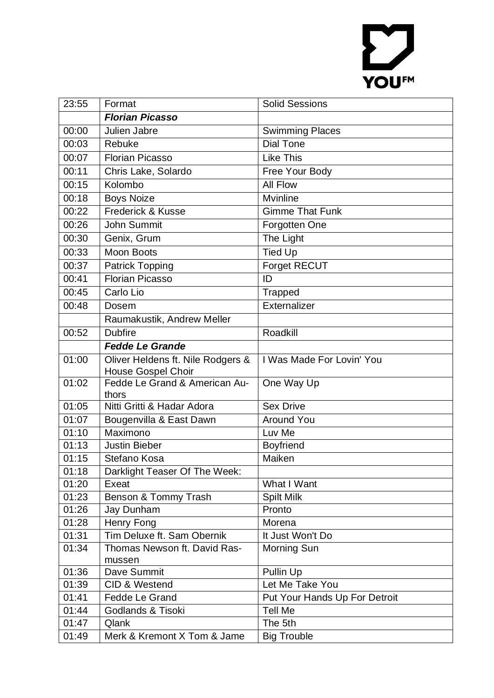## YOUFM

| 23:55          | Format                                                         | <b>Solid Sessions</b>         |
|----------------|----------------------------------------------------------------|-------------------------------|
|                | <b>Florian Picasso</b>                                         |                               |
| 00:00          | Julien Jabre                                                   | <b>Swimming Places</b>        |
| 00:03          | Rebuke                                                         | <b>Dial Tone</b>              |
| 00:07          | <b>Florian Picasso</b>                                         | <b>Like This</b>              |
| 00:11          | Chris Lake, Solardo                                            | Free Your Body                |
| 00:15          | Kolombo                                                        | All Flow                      |
| 00:18          | <b>Boys Noize</b>                                              | <b>Mvinline</b>               |
| 00:22          | <b>Frederick &amp; Kusse</b>                                   | <b>Gimme That Funk</b>        |
| 00:26          | John Summit                                                    | Forgotten One                 |
| 00:30          | Genix, Grum                                                    | The Light                     |
| 00:33          | <b>Moon Boots</b>                                              | <b>Tied Up</b>                |
| 00:37          | <b>Patrick Topping</b>                                         | Forget RECUT                  |
| 00:41          | <b>Florian Picasso</b>                                         | ID                            |
| 00:45          | Carlo Lio                                                      | <b>Trapped</b>                |
| 00:48          | Dosem                                                          | Externalizer                  |
|                | Raumakustik, Andrew Meller                                     |                               |
| 00:52          | <b>Dubfire</b>                                                 | Roadkill                      |
|                | <b>Fedde Le Grande</b>                                         |                               |
| 01:00          | Oliver Heldens ft. Nile Rodgers &<br><b>House Gospel Choir</b> | I Was Made For Lovin' You     |
| 01:02          | Fedde Le Grand & American Au-                                  | One Way Up                    |
|                | thors                                                          |                               |
| 01:05          | Nitti Gritti & Hadar Adora                                     | <b>Sex Drive</b>              |
| 01:07          | Bougenvilla & East Dawn                                        | <b>Around You</b>             |
| 01:10          | Maximono                                                       | Luv Me                        |
| 01:13          | <b>Justin Bieber</b>                                           | <b>Boyfriend</b><br>Maiken    |
| 01:15<br>01:18 | Stefano Kosa<br>Darklight Teaser Of The Week:                  |                               |
| 01:20          | Exeat                                                          | What I Want                   |
| 01:23          | Benson & Tommy Trash                                           | <b>Spilt Milk</b>             |
| 01:26          | Jay Dunham                                                     | Pronto                        |
| 01:28          | Henry Fong                                                     | Morena                        |
| 01:31          | Tim Deluxe ft. Sam Obernik                                     | It Just Won't Do              |
| 01:34          | Thomas Newson ft. David Ras-                                   | Morning Sun                   |
|                | mussen                                                         |                               |
| 01:36          | Dave Summit                                                    | Pullin Up                     |
| 01:39          | CID & Westend                                                  | Let Me Take You               |
| 01:41          | Fedde Le Grand                                                 | Put Your Hands Up For Detroit |
| 01:44          | Godlands & Tisoki                                              | <b>Tell Me</b>                |
| 01:47          | Qlank                                                          | The 5th                       |
| 01:49          | Merk & Kremont X Tom & Jame                                    | <b>Big Trouble</b>            |